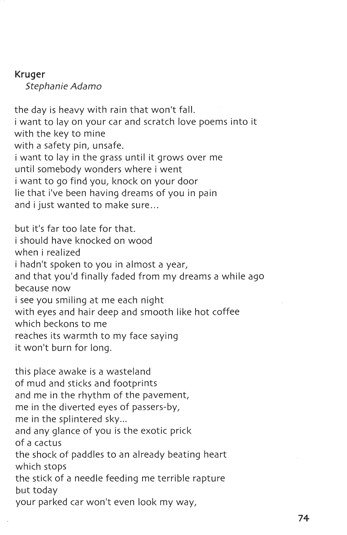## **Kruger**

Stephanie Adamo

the day is heavy with rain that won't fall. i want to lay on your car and scratch love poems into it with the key to mine with a safety pin, unsafe. i want to lay in the grass until it grows over me until somebody wonders where i went i want to go find you, knock on your door lie that i've been having dreams of you in pain and i just wanted to make sure...

but it's far too late for that. i should have knocked on wood when i realized i hadn't spoken to you in almost a year, and that you'd finally faded from my dreams a while ago because now i see you smiling at me each night with eyes and hair deep and smooth like hot coffee which beckons to me reaches its warmth to my face saying it won't burn for long.

this place awake is a wasteland of mud and sticks and footprints and me in the rhythm of the pavement, me in the diverted eyes of passers-by, me in the splintered sky... and any glance of you is the exotic prick of a cactus the shock of paddles to an already beating heart which stops the stick of a needle feeding me terrible rapture but today your parked car won't even look my way,